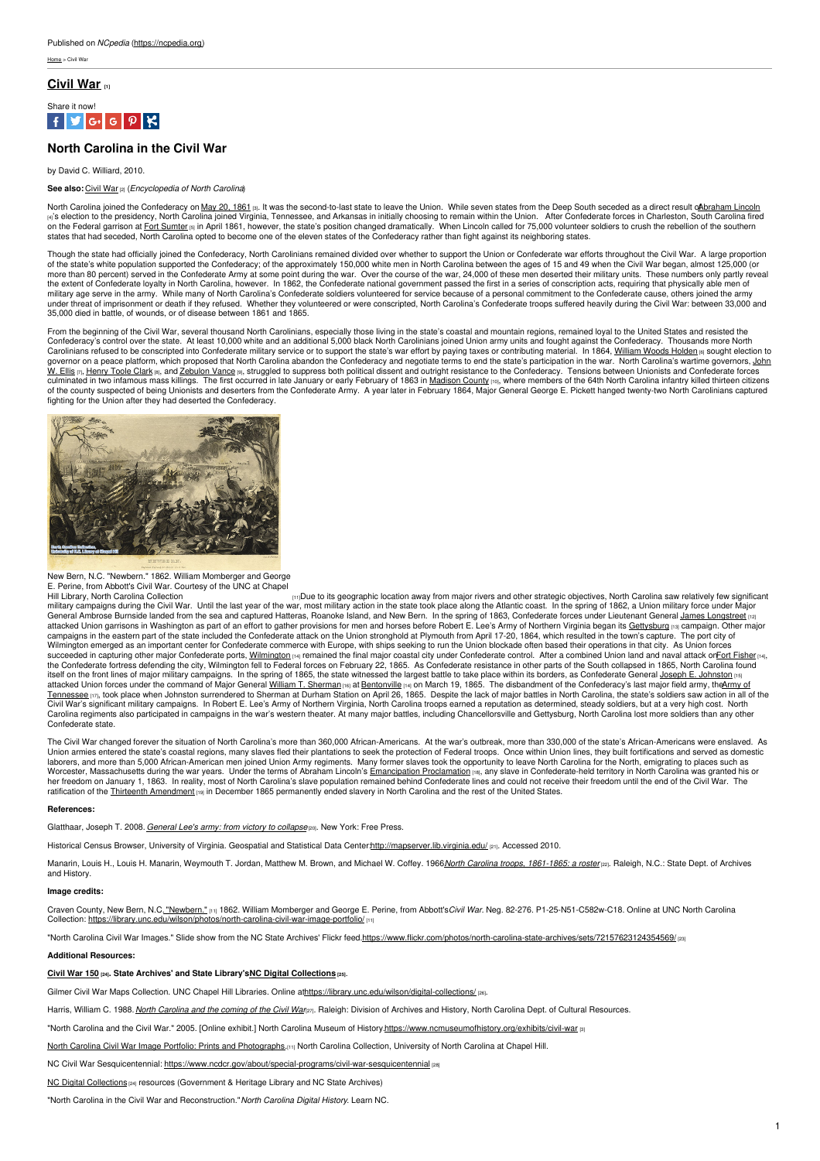$Homo <$  Civil War

### **[Civil](https://ncpedia.org/history/cw-1900/civil-war) War [1]**



## **North Carolina in the Civil War**

#### by David C. Williard, 2010.

#### **See also:** [Civil](https://ncpedia.org/civil-war) War [2] (*Encyclopedia of North Carolina*)

North Carolina joined the Confederacy on May 20, [1861](https://www.ncmuseumofhistory.org/exhibits/civil-war) (3). It was the second-to-last state to leave the Union. While seven states from the Deep South seceded as a direct result oA[braham](https://www.whitehouse.gov/about-the-white-house/presidents/abraham-lincoln/) Lincoln <sub>lণ</sub>'s election to the presidency, North Carolina joined Virginia, Tennessee, and Arkansas in initially choosing to remain within the Union. \_ After Confederate forces in Charleston, South Carolina fired<br>on the Federal g

Though the state had officially joined the Confederacy, North Carolinians remained divided over whether to support the Union or Confederate war efforts throughout the Civil War. A large proportion of the state's white population supported the Confederacy; of the approximately 150,000 white men in North Carolina between the ages of 15 and 49 when the Civil War began, almost 125,000 (or<br>more than 80 percent) served in the extent of Confederate loyalty in North Carolina, however. In 1862, the Confederate national government passed the first in a series of conscription acts, requiring that physically able men of<br>military age serve in the under threat of imprisonment or death if they refused. Whether they volunteered or were conscripted, North Carolina's Confederate troops suffered heavily during the Civil War: between 33,000 and<br>35,000 died in battle, of w

From the beginning of the Civil War, several thousand North Carolinians, especially those living in the state's coastal and mountain regions, remained loyal to the United States and resisted the<br>Confederacy's control over Carolinians refused to be conscripted into Confederate military service or to support the state's war effort by paying taxes or contributing material. In 1864, <u>[William](https://ncpedia.org/holden-william-woods-research) Woods Holden </u> sought election to<br>governor on a pea <u>W. Ellis ra, [Henry](https://ncpedia.org/clark-henry-toole-research-branch) Toole Clark ra,</u> and <u>[Zebulon](https://ncpedia.org/vance-zebulon-baird-research-branch) Vance</u> ra, struggled to suppress both political dissent and outright resistance to the [Confederacy.](https://ncpedia.org/ellis-john-willis-research-branch) Tensions between Unionists and Confederate forces<br>culminated in two in fighting for the Union after they had deserted the Confederacy.



# New Bern, N.C. "Newbern." 1862. William Momberger and George<br>E. Perine, from Abbott's Civil War. Courtesy of the UNC at Chapel

Hill Library, North Carolina [Collection](https://library.unc.edu/wilson/photos/north-carolina-civil-war-image-portfolio/) **[11]** In Library, North Carolina Collection **and Collection** [11] Due to its geographic location away from major rivers and other strategic objectives, North Carolina saw relatively military campaigns during the Civil War. Until the last year of the war, most military action in the state took place along the Atlantic coast. In the spring of 1862, a Union military force under Major<br>General Ambrose Burn Wilmington emerged as an important center for Confederate commerce with Europe, with ships seeking to run the Union blockade often based their operations in that city. As Union forces succeeded in capturing other major Confederate ports, [Wilmington](https://historicsites.nc.gov/all-sites/fort-fisher) [14] remained the final major coastal city under Confederate control. After a combined Union land and naval attack onFort [Fisher](https://historicsites.nc.gov/all-sites/fort-fisher) [14], the Confederate fortress defending the city, Wilmington fell to Federal forces on February 22, 1865. As Confederate resistance in other parts of the South collapsed in 1865, North Carolina found itself on the front lines of major military campaigns. In the spring of 1865, the state witnessed the largest battle to take place within its borders, as Confederate General <u>Joseph E. [Johnston](https://www.britannica.com/biography/Joseph-E-Johnston) [15]</u><br>attacked Union forces <u>Tennessee <sub>[17]</sub>,</u> took place when Johnston surrendered to Sherman at Durham Station on April 26, 1865. Despite the lack of major battles in North Carolina, the state's soldiers saw action in all of the<br>Civil War's signi Carolina regiments also participated in campaigns in the war's western theater. At many major battles, including Chancellorsville and Gettysburg, North Carolina lost more soldiers than any other Confederate state.

The Civil War changed forever the situation of North Carolina's more than 360,000 African-Americans. At the war's outbreak, more than 330,000 of the state's African-Americans were enslaved. As<br>Union armies entered the sta laborers, and more than 5,000 African-American men joined Union Army regiments. Many former slaves took the opportunity to leave North Carolina for the North, emigrating to places such as Worcester, Massachusetts during the war years. Under the terms of Abraham Lincoln's <u>[Emancipation](https://www.archives.gov/exhibits/featured-documents) Proclamation ma</u>, any slave in Confederate-held territory in North Carolina was granted his or<br>her freedom on January 1, 186 ratification of the Thirteenth [Amendment](https://guides.loc.gov/13th-amendment) [19] in December 1865 permanently ended slavery in North Carolina and the rest of the United States.

#### **References:**

Glatthaar, Joseph T. 2008. *[General](https://www.worldcat.org/oclc/144767946) Lee's army: from victory to collapse*[20]. New York: Free Press.

Historical Census Browser, University of Virginia. Geospatial and Statistical Data Center[:http://mapserver.lib.virginia.edu/](http://mapserver.lib.virginia.edu/) [21]. Accessed 2010.

Manarin, Louis H., Louis H. Manarin, Weymouth T. Jordan, Matthew M. Brown, and Michael W. Coffey. 1966 North Carolina troops, [1861-1865:](https://www.worldcat.org/oclc/320426) a rostervel. Raleigh, N.C.: State Dept. of Archives and History.

#### **Image credits:**

Craven County, New Bern, N.C. ["Newbern."](https://library.unc.edu/wilson/photos/north-carolina-civil-war-image-portfolio/) [11] 1862. William Momberger and George E. Perine, from Abbott's*Civil War.* Neg. 82-276. P1-25-N51-C582w-C18. Online at UNC North Carolina Collection: <https://library.unc.edu/wilson/photos/north-carolina-civil-war-image-portfolio/> [11

"North Carolina Civil War Images." Slide show from the NC State Archives' Flickr feed[.https://www.flickr.com/photos/north-carolina-state-archives/sets/72157623124354569/](https://www.flickr.com/photos/north-carolina-state-archives/sets/72157623124354569/) [23]

#### **Additional Resources:**

#### **[Civil](https://digital.ncdcr.gov/digital/search/collection/p249901coll22!p249901coll44!p249901coll37!p15012coll4!p15012coll8!p249901coll33!p15012coll1!p249901coll39!p249901coll36!p15012coll9!p15012coll6!p249901coll31!p249901coll26!p15012coll5!p15012coll10/searchterm/Civil War/field/relatig/mode/all/conn/and/cosuppress/) War 150 [24]. State Archives' and State Library'sNC Digital [Collections](https://digital.ncdcr.gov/) [25]**.

Gilmer Civil War Maps Collection. UNC Chapel Hill Libraries. Online a[thttps://library.unc.edu/wilson/digital-collections/](https://library.unc.edu/wilson/digital-collections/) [28].

Harris, William C. 1988. North [Carolina](https://www.worldcat.org/oclc/18689713) and the coming of the Civil Wanan. Raleigh: Division of Archives and History, North Carolina Dept. of Cultural Resources.

"North Carolina and the Civil War." 2005. [Online exhibit.] North Carolina Museum of History[.https://www.ncmuseumofhistory.org/exhibits/civil-war](https://www.ncmuseumofhistory.org/exhibits/civil-war) [3]

North Carolina Civil War Image Portfolio: Prints and [Photographs.](https://library.unc.edu/wilson/photos/north-carolina-civil-war-image-portfolio/)[11] North Carolina Collection, University of North Carolina at Chapel Hill.

NC Civil War Sesquicentennial: <https://www.ncdcr.gov/about/special-programs/civil-war-sesquicentennial> [28]

**NC Digital [Collections](https://digital.ncdcr.gov/digital/search/collection/p249901coll22!p249901coll44!p249901coll37!p15012coll4!p15012coll8!p249901coll33!p15012coll1!p249901coll39!p249901coll36!p15012coll9!p15012coll6!p249901coll31!p249901coll26!p15012coll5!p15012coll10/searchterm/Civil War/field/relatig/mode/all/conn/and/cosuppress/) [24] resources (Government & Heritage Library and NC State Archives)** 

"North Carolina in the Civil War and Reconstruction."*North Carolina Digital History*. Learn NC.